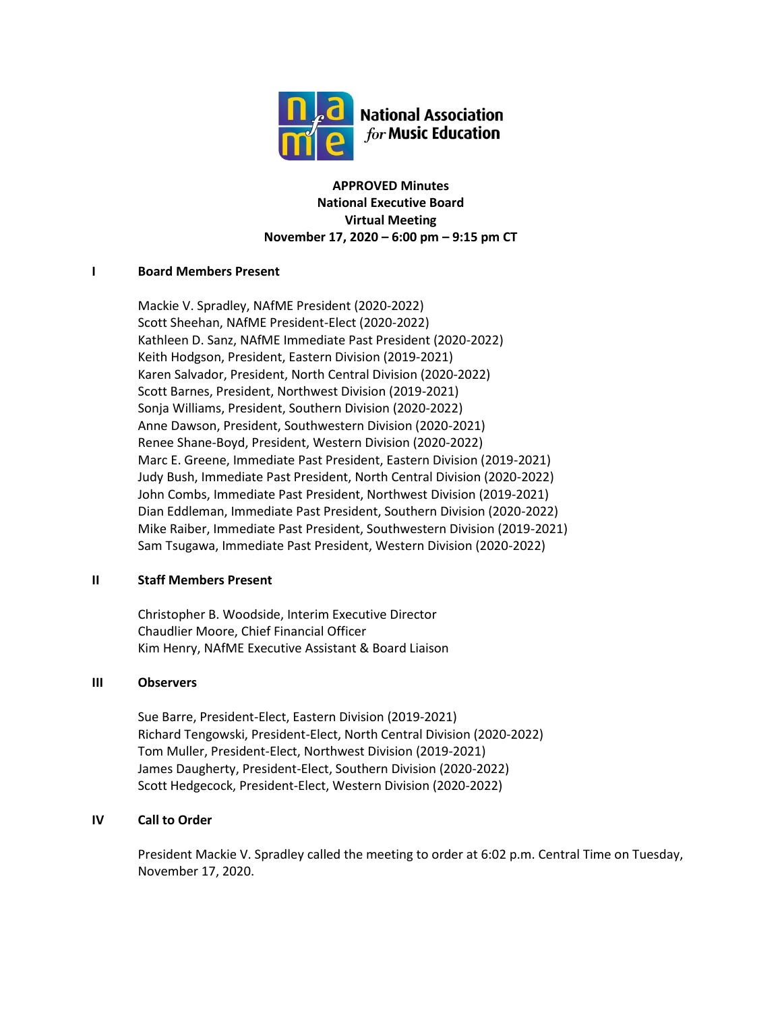

**APPROVED Minutes National Executive Board Virtual Meeting November 17, 2020 – 6:00 pm – 9:15 pm CT**

# **I Board Members Present**

Mackie V. Spradley, NAfME President (2020-2022) Scott Sheehan, NAfME President-Elect (2020-2022) Kathleen D. Sanz, NAfME Immediate Past President (2020-2022) Keith Hodgson, President, Eastern Division (2019-2021) Karen Salvador, President, North Central Division (2020-2022) Scott Barnes, President, Northwest Division (2019-2021) Sonja Williams, President, Southern Division (2020-2022) Anne Dawson, President, Southwestern Division (2020-2021) Renee Shane-Boyd, President, Western Division (2020-2022) Marc E. Greene, Immediate Past President, Eastern Division (2019-2021) Judy Bush, Immediate Past President, North Central Division (2020-2022) John Combs, Immediate Past President, Northwest Division (2019-2021) Dian Eddleman, Immediate Past President, Southern Division (2020-2022) Mike Raiber, Immediate Past President, Southwestern Division (2019-2021) Sam Tsugawa, Immediate Past President, Western Division (2020-2022)

# **II Staff Members Present**

Christopher B. Woodside, Interim Executive Director Chaudlier Moore, Chief Financial Officer Kim Henry, NAfME Executive Assistant & Board Liaison

# **III Observers**

Sue Barre, President-Elect, Eastern Division (2019-2021) Richard Tengowski, President-Elect, North Central Division (2020-2022) Tom Muller, President-Elect, Northwest Division (2019-2021) James Daugherty, President-Elect, Southern Division (2020-2022) Scott Hedgecock, President-Elect, Western Division (2020-2022)

# **IV Call to Order**

President Mackie V. Spradley called the meeting to order at 6:02 p.m. Central Time on Tuesday, November 17, 2020.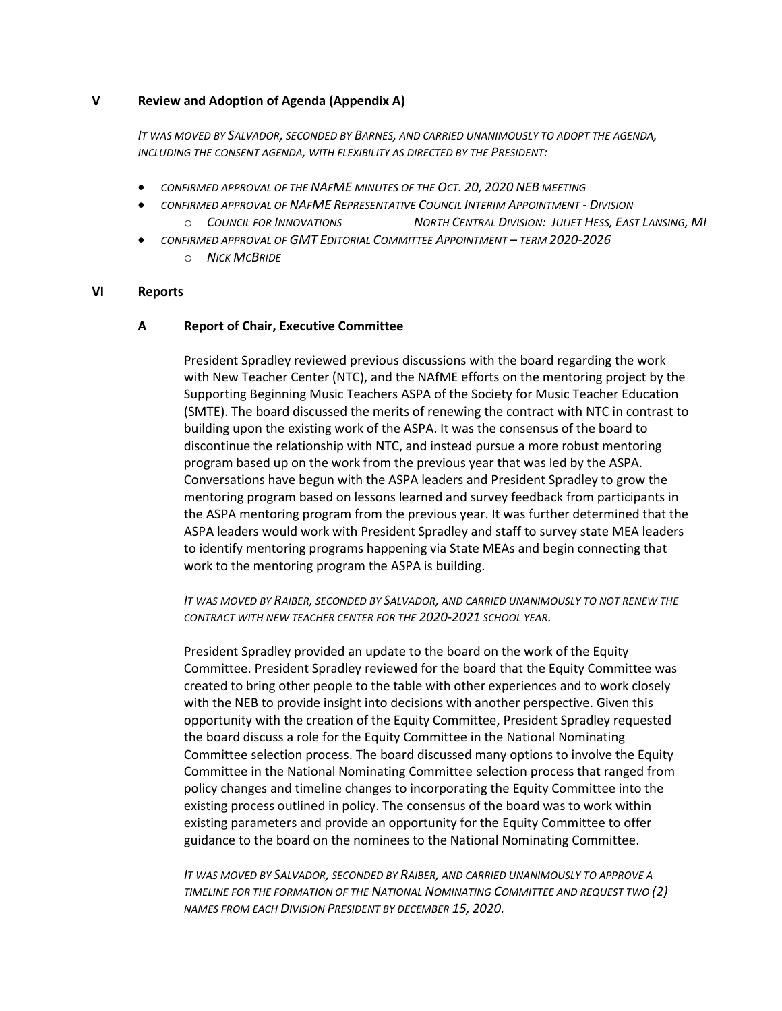#### **V Review and Adoption of Agenda (Appendix A)**

*IT WAS MOVED BY SALVADOR, SECONDED BY BARNES, AND CARRIED UNANIMOUSLY TO ADOPT THE AGENDA, INCLUDING THE CONSENT AGENDA, WITH FLEXIBILITY AS DIRECTED BY THE PRESIDENT:*

- *CONFIRMED APPROVAL OF THE NAFME MINUTES OF THE OCT. 20, 2020 NEB MEETING*
	- *CONFIRMED APPROVAL OF NAFME REPRESENTATIVE COUNCIL INTERIM APPOINTMENT - DIVISION* O COUNCIL FOR INNOVATIONS NORTH CENTRAL DIVISION: JULIET HESS, EAST LANSING, MI
- *CONFIRMED APPROVAL OF GMT EDITORIAL COMMITTEE APPOINTMENT – TERM 2020-2026*
	- o *NICK MCBRIDE*

#### **VI Reports**

## **A Report of Chair, Executive Committee**

President Spradley reviewed previous discussions with the board regarding the work with New Teacher Center (NTC), and the NAfME efforts on the mentoring project by the Supporting Beginning Music Teachers ASPA of the Society for Music Teacher Education (SMTE). The board discussed the merits of renewing the contract with NTC in contrast to building upon the existing work of the ASPA. It was the consensus of the board to discontinue the relationship with NTC, and instead pursue a more robust mentoring program based up on the work from the previous year that was led by the ASPA. Conversations have begun with the ASPA leaders and President Spradley to grow the mentoring program based on lessons learned and survey feedback from participants in the ASPA mentoring program from the previous year. It was further determined that the ASPA leaders would work with President Spradley and staff to survey state MEA leaders to identify mentoring programs happening via State MEAs and begin connecting that work to the mentoring program the ASPA is building.

## *IT WAS MOVED BY RAIBER, SECONDED BY SALVADOR, AND CARRIED UNANIMOUSLY TO NOT RENEW THE CONTRACT WITH NEW TEACHER CENTER FOR THE 2020-2021 SCHOOL YEAR.*

President Spradley provided an update to the board on the work of the Equity Committee. President Spradley reviewed for the board that the Equity Committee was created to bring other people to the table with other experiences and to work closely with the NEB to provide insight into decisions with another perspective. Given this opportunity with the creation of the Equity Committee, President Spradley requested the board discuss a role for the Equity Committee in the National Nominating Committee selection process. The board discussed many options to involve the Equity Committee in the National Nominating Committee selection process that ranged from policy changes and timeline changes to incorporating the Equity Committee into the existing process outlined in policy. The consensus of the board was to work within existing parameters and provide an opportunity for the Equity Committee to offer guidance to the board on the nominees to the National Nominating Committee.

*IT WAS MOVED BY SALVADOR, SECONDED BY RAIBER, AND CARRIED UNANIMOUSLY TO APPROVE A TIMELINE FOR THE FORMATION OF THE NATIONAL NOMINATING COMMITTEE AND REQUEST TWO (2) NAMES FROM EACH DIVISION PRESIDENT BY DECEMBER 15, 2020.*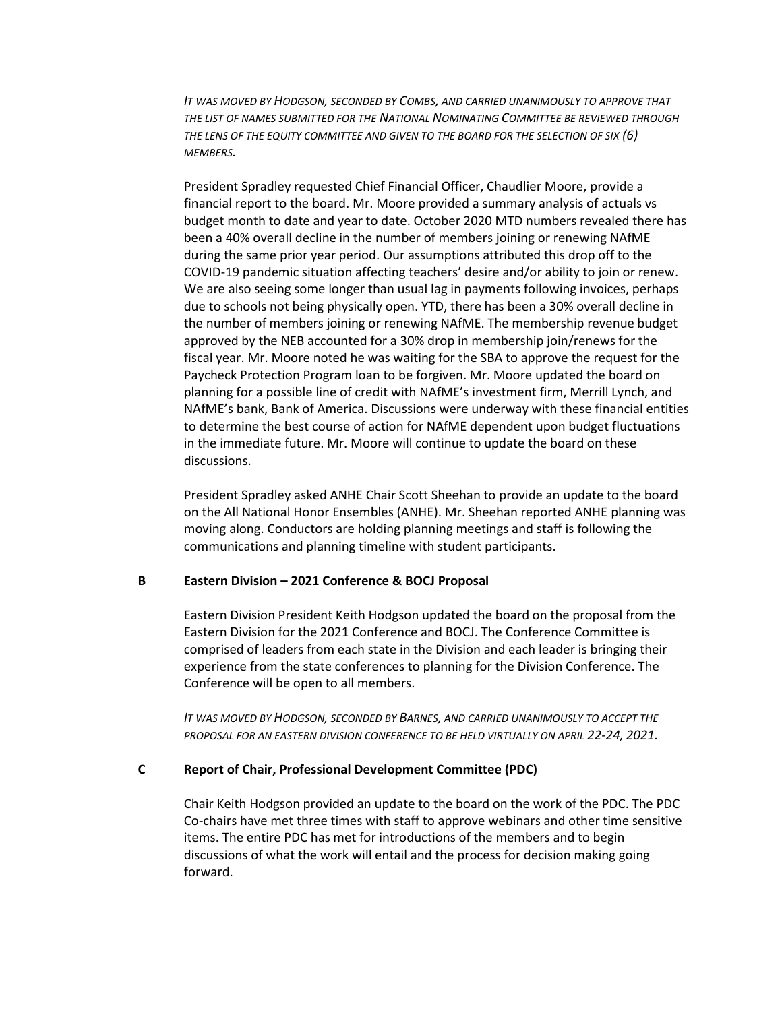*IT WAS MOVED BY HODGSON, SECONDED BY COMBS, AND CARRIED UNANIMOUSLY TO APPROVE THAT THE LIST OF NAMES SUBMITTED FOR THE NATIONAL NOMINATING COMMITTEE BE REVIEWED THROUGH THE LENS OF THE EQUITY COMMITTEE AND GIVEN TO THE BOARD FOR THE SELECTION OF SIX (6) MEMBERS.*

President Spradley requested Chief Financial Officer, Chaudlier Moore, provide a financial report to the board. Mr. Moore provided a summary analysis of actuals vs budget month to date and year to date. October 2020 MTD numbers revealed there has been a 40% overall decline in the number of members joining or renewing NAfME during the same prior year period. Our assumptions attributed this drop off to the COVID-19 pandemic situation affecting teachers' desire and/or ability to join or renew. We are also seeing some longer than usual lag in payments following invoices, perhaps due to schools not being physically open. YTD, there has been a 30% overall decline in the number of members joining or renewing NAfME. The membership revenue budget approved by the NEB accounted for a 30% drop in membership join/renews for the fiscal year. Mr. Moore noted he was waiting for the SBA to approve the request for the Paycheck Protection Program loan to be forgiven. Mr. Moore updated the board on planning for a possible line of credit with NAfME's investment firm, Merrill Lynch, and NAfME's bank, Bank of America. Discussions were underway with these financial entities to determine the best course of action for NAfME dependent upon budget fluctuations in the immediate future. Mr. Moore will continue to update the board on these discussions.

President Spradley asked ANHE Chair Scott Sheehan to provide an update to the board on the All National Honor Ensembles (ANHE). Mr. Sheehan reported ANHE planning was moving along. Conductors are holding planning meetings and staff is following the communications and planning timeline with student participants.

#### **B Eastern Division – 2021 Conference & BOCJ Proposal**

Eastern Division President Keith Hodgson updated the board on the proposal from the Eastern Division for the 2021 Conference and BOCJ. The Conference Committee is comprised of leaders from each state in the Division and each leader is bringing their experience from the state conferences to planning for the Division Conference. The Conference will be open to all members.

*IT WAS MOVED BY HODGSON, SECONDED BY BARNES, AND CARRIED UNANIMOUSLY TO ACCEPT THE*  **PROPOSAL FOR AN EASTERN DIVISION CONFERENCE TO BE HELD VIRTUALLY ON APRIL 22-24, 2021.** 

#### **C Report of Chair, Professional Development Committee (PDC)**

Chair Keith Hodgson provided an update to the board on the work of the PDC. The PDC Co-chairs have met three times with staff to approve webinars and other time sensitive items. The entire PDC has met for introductions of the members and to begin discussions of what the work will entail and the process for decision making going forward.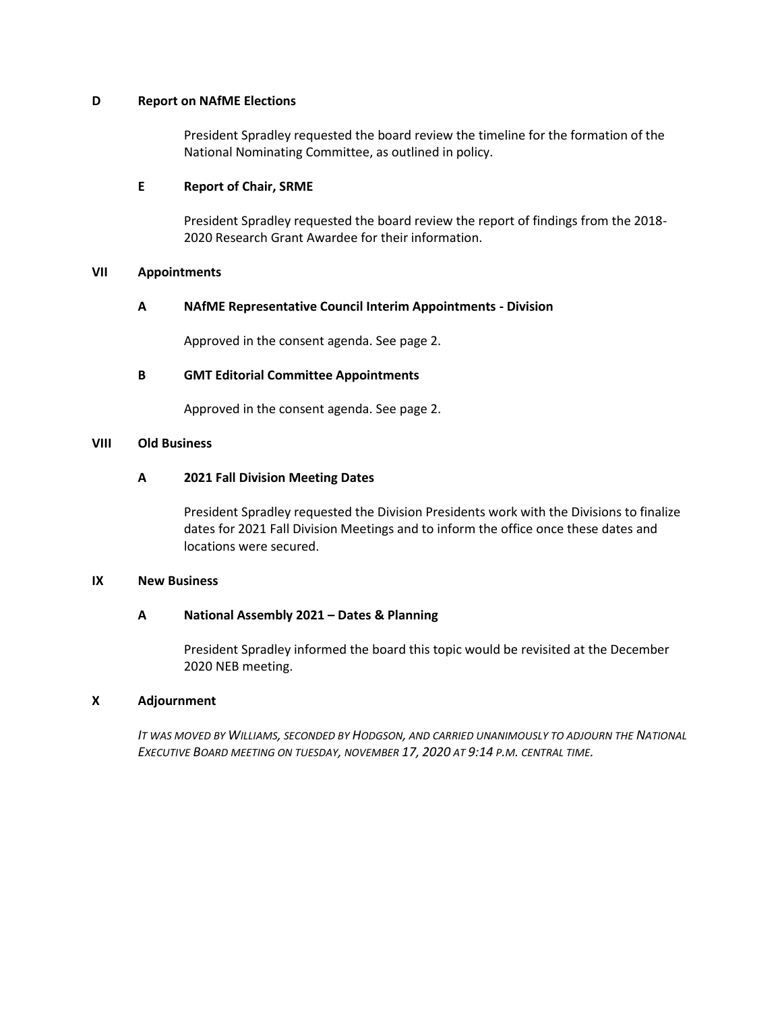#### **D Report on NAfME Elections**

President Spradley requested the board review the timeline for the formation of the National Nominating Committee, as outlined in policy.

### **E Report of Chair, SRME**

President Spradley requested the board review the report of findings from the 2018- 2020 Research Grant Awardee for their information.

## **VII Appointments**

# **A NAfME Representative Council Interim Appointments - Division**

Approved in the consent agenda. See page 2.

## **B GMT Editorial Committee Appointments**

Approved in the consent agenda. See page 2.

## **VIII Old Business**

## **A 2021 Fall Division Meeting Dates**

President Spradley requested the Division Presidents work with the Divisions to finalize dates for 2021 Fall Division Meetings and to inform the office once these dates and locations were secured.

#### **IX New Business**

# **A National Assembly 2021 – Dates & Planning**

President Spradley informed the board this topic would be revisited at the December 2020 NEB meeting.

#### **X Adjournment**

*IT WAS MOVED BY WILLIAMS, SECONDED BY HODGSON, AND CARRIED UNANIMOUSLY TO ADJOURN THE NATIONAL EXECUTIVE BOARD MEETING ON TUESDAY, NOVEMBER 17, 2020 AT 9:14 P.M. CENTRAL TIME.*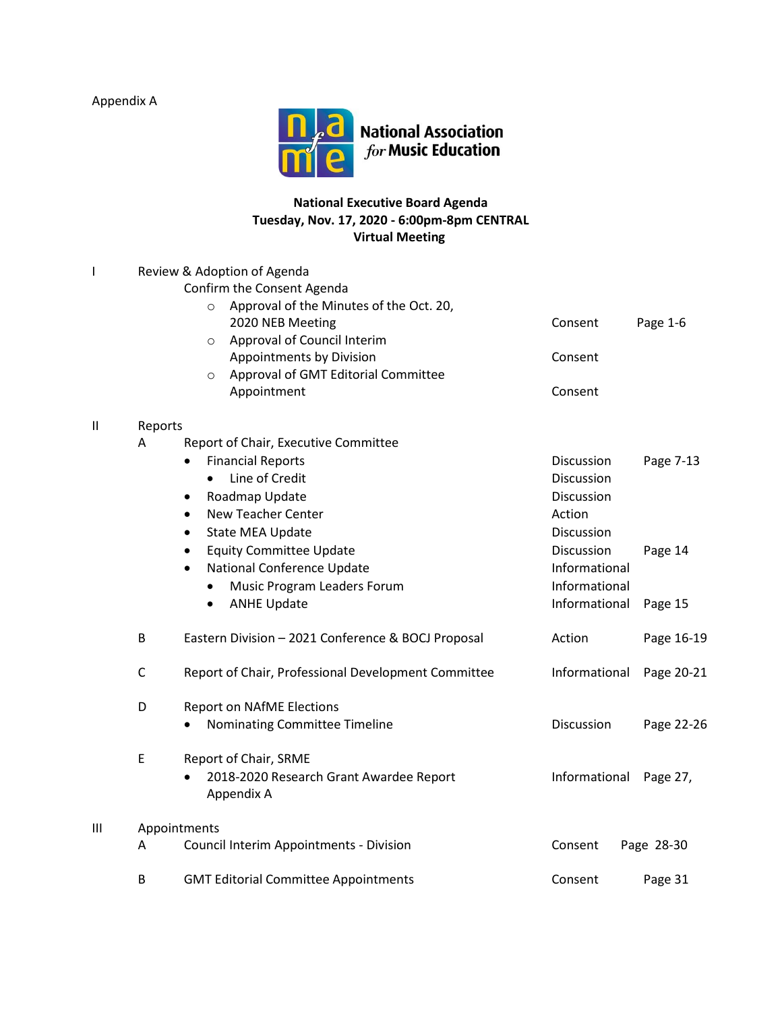Appendix A



# **National Executive Board Agenda Tuesday, Nov. 17, 2020 - 6:00pm-8pm CENTRAL Virtual Meeting**

| I            |              | Review & Adoption of Agenda                           |                   |            |  |  |  |
|--------------|--------------|-------------------------------------------------------|-------------------|------------|--|--|--|
|              |              | Confirm the Consent Agenda                            |                   |            |  |  |  |
|              |              | Approval of the Minutes of the Oct. 20,               |                   |            |  |  |  |
|              |              | 2020 NEB Meeting                                      | Consent           | Page 1-6   |  |  |  |
|              |              | Approval of Council Interim<br>$\circ$                |                   |            |  |  |  |
|              |              | Appointments by Division                              | Consent           |            |  |  |  |
|              |              | Approval of GMT Editorial Committee<br>O              |                   |            |  |  |  |
|              |              | Appointment                                           | Consent           |            |  |  |  |
| $\mathsf{I}$ | Reports      |                                                       |                   |            |  |  |  |
|              | Α            | Report of Chair, Executive Committee                  |                   |            |  |  |  |
|              |              | <b>Financial Reports</b><br>$\bullet$                 | Discussion        | Page 7-13  |  |  |  |
|              |              | Line of Credit                                        | Discussion        |            |  |  |  |
|              |              | Roadmap Update<br>$\bullet$                           | Discussion        |            |  |  |  |
|              |              | <b>New Teacher Center</b><br>$\bullet$                | Action            |            |  |  |  |
|              |              | State MEA Update<br>$\bullet$                         | <b>Discussion</b> |            |  |  |  |
|              |              | <b>Equity Committee Update</b><br>٠                   | Discussion        | Page 14    |  |  |  |
|              |              | <b>National Conference Update</b><br>$\bullet$        | Informational     |            |  |  |  |
|              |              | Music Program Leaders Forum<br>$\bullet$              | Informational     |            |  |  |  |
|              |              | <b>ANHE Update</b><br>$\bullet$                       | Informational     | Page 15    |  |  |  |
|              | B            | Eastern Division - 2021 Conference & BOCJ Proposal    | Action            | Page 16-19 |  |  |  |
|              | $\mathsf C$  | Report of Chair, Professional Development Committee   | Informational     | Page 20-21 |  |  |  |
|              | D            | <b>Report on NAfME Elections</b>                      |                   |            |  |  |  |
|              |              | Nominating Committee Timeline                         | Discussion        | Page 22-26 |  |  |  |
|              | E            | Report of Chair, SRME                                 |                   |            |  |  |  |
|              |              | 2018-2020 Research Grant Awardee Report<br>Appendix A | Informational     | Page 27,   |  |  |  |
| Ш            | Appointments |                                                       |                   |            |  |  |  |
|              | Α            | Council Interim Appointments - Division               | Consent           | Page 28-30 |  |  |  |
|              | B            | <b>GMT Editorial Committee Appointments</b>           | Consent           | Page 31    |  |  |  |